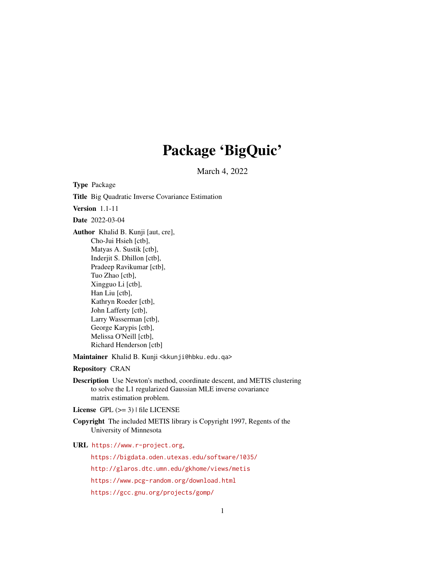## Package 'BigQuic'

March 4, 2022

<span id="page-0-0"></span>Type Package Title Big Quadratic Inverse Covariance Estimation Version 1.1-11 Date 2022-03-04 Author Khalid B. Kunji [aut, cre], Cho-Jui Hsieh [ctb], Matyas A. Sustik [ctb], Inderjit S. Dhillon [ctb], Pradeep Ravikumar [ctb], Tuo Zhao [ctb], Xingguo Li [ctb], Han Liu [ctb], Kathryn Roeder [ctb], John Lafferty [ctb], Larry Wasserman [ctb], George Karypis [ctb], Melissa O'Neill [ctb], Richard Henderson [ctb]

Maintainer Khalid B. Kunji <kkunji@hbku.edu.qa>

Repository CRAN

Description Use Newton's method, coordinate descent, and METIS clustering to solve the L1 regularized Gaussian MLE inverse covariance matrix estimation problem.

License GPL  $(>= 3)$  | file LICENSE

Copyright The included METIS library is Copyright 1997, Regents of the University of Minnesota

URL <https://www.r-project.org>,

<https://bigdata.oden.utexas.edu/software/1035/>

<http://glaros.dtc.umn.edu/gkhome/views/metis>

<https://www.pcg-random.org/download.html>

<https://gcc.gnu.org/projects/gomp/>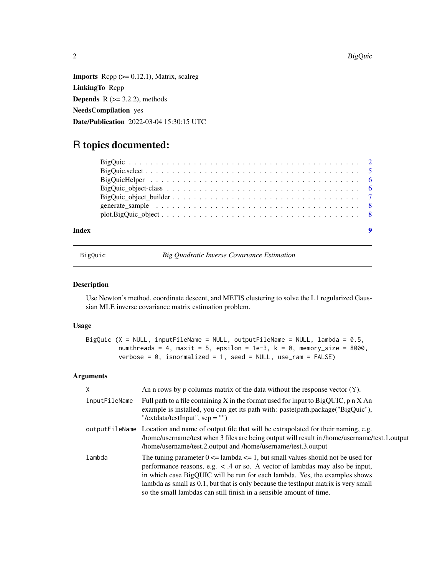$2$  BigQuic  $B$  BigQuic  $B$  BigQuic  $B$ 

**Imports** Rcpp  $(>= 0.12.1)$ , Matrix, scalreg LinkingTo Rcpp **Depends**  $R$  ( $>= 3.2.2$ ), methods NeedsCompilation yes Date/Publication 2022-03-04 15:30:15 UTC

### R topics documented:

| plot.BigQuick |
|---------------|
|               |

#### **Index** [9](#page-8-0)

BigQuic *Big Quadratic Inverse Covariance Estimation*

#### Description

Use Newton's method, coordinate descent, and METIS clustering to solve the L1 regularized Gaussian MLE inverse covariance matrix estimation problem.

#### Usage

BigQuic (X = NULL, inputFileName = NULL, outputFileName = NULL, lambda = 0.5, numthreads = 4, maxit = 5, epsilon = 1e-3,  $k = 0$ , memory\_size = 8000, verbose =  $0$ , isnormalized = 1, seed = NULL, use\_ram = FALSE)

#### Arguments

| X             | An n rows by p columns matrix of the data without the response vector $(Y)$ .                                                                                                                                                                                                                                                                                                                                        |
|---------------|----------------------------------------------------------------------------------------------------------------------------------------------------------------------------------------------------------------------------------------------------------------------------------------------------------------------------------------------------------------------------------------------------------------------|
| inputFileName | Full path to a file containing X in the format used for input to BigQUIC, $p \nvert X$ An<br>example is installed, you can get its path with: paste(path.package("BigQuic"),<br>"/extdata/testInput", $sep =$ "")                                                                                                                                                                                                    |
|               | output FileName Location and name of output file that will be extrapolated for their naming, e.g.<br>home/username/test when 3 files are being output will result in /home/username/test.1.output<br>/home/username/test.2.output and /home/username/test.3.output                                                                                                                                                   |
| lambda        | The tuning parameter $0 \le$ lambda $\le$ 1, but small values should not be used for<br>performance reasons, e.g. $\lt$ .4 or so. A vector of lambdas may also be input,<br>in which case BigQUIC will be run for each lambda. Yes, the examples shows<br>lambda as small as 0.1, but that is only because the testInput matrix is very small<br>so the small lambdas can still finish in a sensible amount of time. |

<span id="page-1-0"></span>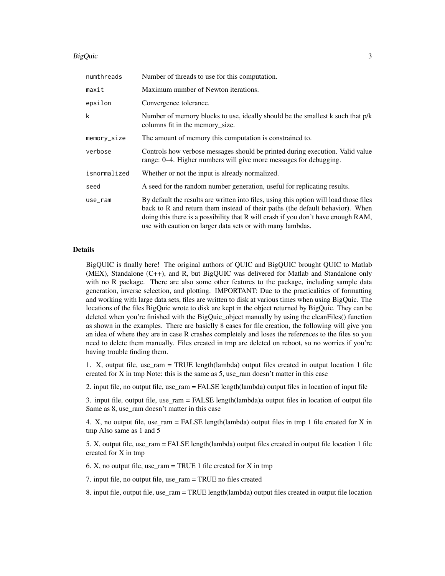#### BigQuic 3

| numthreads   | Number of threads to use for this computation.                                                                                                                                                                                                                                                                             |  |
|--------------|----------------------------------------------------------------------------------------------------------------------------------------------------------------------------------------------------------------------------------------------------------------------------------------------------------------------------|--|
| maxit        | Maximum number of Newton iterations.                                                                                                                                                                                                                                                                                       |  |
| epsilon      | Convergence tolerance.                                                                                                                                                                                                                                                                                                     |  |
| k            | Number of memory blocks to use, ideally should be the smallest k such that p/k<br>columns fit in the memory_size.                                                                                                                                                                                                          |  |
| memory_size  | The amount of memory this computation is constrained to.                                                                                                                                                                                                                                                                   |  |
| verbose      | Controls how verbose messages should be printed during execution. Valid value<br>range: 0–4. Higher numbers will give more messages for debugging.                                                                                                                                                                         |  |
| isnormalized | Whether or not the input is already normalized.                                                                                                                                                                                                                                                                            |  |
| seed         | A seed for the random number generation, useful for replicating results.                                                                                                                                                                                                                                                   |  |
| use_ram      | By default the results are written into files, using this option will load those files<br>back to R and return them instead of their paths (the default behavior). When<br>doing this there is a possibility that R will crash if you don't have enough RAM,<br>use with caution on larger data sets or with many lambdas. |  |

#### Details

BigQUIC is finally here! The original authors of QUIC and BigQUIC brought QUIC to Matlab (MEX), Standalone (C++), and R, but BigQUIC was delivered for Matlab and Standalone only with no R package. There are also some other features to the package, including sample data generation, inverse selection, and plotting. IMPORTANT: Due to the practicalities of formatting and working with large data sets, files are written to disk at various times when using BigQuic. The locations of the files BigQuic wrote to disk are kept in the object returned by BigQuic. They can be deleted when you're finished with the BigQuic\_object manually by using the cleanFiles() function as shown in the examples. There are basiclly 8 cases for file creation, the following will give you an idea of where they are in case R crashes completely and loses the references to the files so you need to delete them manually. Files created in tmp are deleted on reboot, so no worries if you're having trouble finding them.

1. X, output file, use  $ram = TRUE$  length(lambda) output files created in output location 1 file created for X in tmp Note: this is the same as 5, use ram doesn't matter in this case

2. input file, no output file, use\_ram = FALSE length(lambda) output files in location of input file

3. input file, output file, use\_ram = FALSE length(lambda)a output files in location of output file Same as 8, use ram doesn't matter in this case

4. X, no output file, use  $ram = FALSE$  length(lambda) output files in tmp 1 file created for X in tmp Also same as 1 and 5

5. X, output file, use\_ram = FALSE length(lambda) output files created in output file location 1 file created for X in tmp

6. X, no output file, use\_ram = TRUE 1 file created for X in tmp

7. input file, no output file, use\_ram = TRUE no files created

8. input file, output file, use\_ram = TRUE length(lambda) output files created in output file location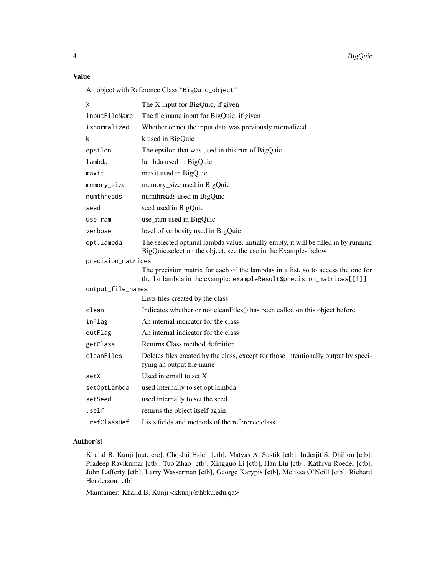#### Value

An object with Reference Class "BigQuic\_object"

| Χ                  | The X input for BigQuic, if given                                                                                                                         |  |
|--------------------|-----------------------------------------------------------------------------------------------------------------------------------------------------------|--|
| inputFileName      | The file name input for BigQuic, if given                                                                                                                 |  |
| isnormalized       | Whether or not the input data was previously normalized                                                                                                   |  |
| k                  | k used in BigQuic                                                                                                                                         |  |
| epsilon            | The epsilon that was used in this run of BigQuic                                                                                                          |  |
| lambda             | lambda used in BigQuic                                                                                                                                    |  |
| maxit              | maxit used in BigQuic                                                                                                                                     |  |
| memory_size        | memory_size used in BigQuic                                                                                                                               |  |
| numthreads         | numthreads used in BigQuic                                                                                                                                |  |
| seed               | seed used in BigQuic                                                                                                                                      |  |
| use_ram            | use_ram used in BigQuic                                                                                                                                   |  |
| verbose            | level of verbosity used in BigQuic                                                                                                                        |  |
| opt.lambda         | The selected optimal lambda value, initially empty, it will be filled in by running<br>BigQuic.select on the object, see the use in the Examples below    |  |
| precision_matrices |                                                                                                                                                           |  |
|                    | The precision matrix for each of the lambdas in a list, so to access the one for<br>the 1st lambda in the example: exampleResult\$precision_matrices[[1]] |  |
| output_file_names  |                                                                                                                                                           |  |
|                    | Lists files created by the class                                                                                                                          |  |
| clean              | Indicates whether or not cleanFiles() has been called on this object before                                                                               |  |
| inFlag             | An internal indicator for the class                                                                                                                       |  |
| outFlag            | An internal indicator for the class                                                                                                                       |  |
| getClass           | Returns Class method definition                                                                                                                           |  |
| cleanFiles         | Deletes files created by the class, except for those intentionally output by speci-<br>fying an output file name                                          |  |
| setX               | Used internall to set X                                                                                                                                   |  |
| setOptLambda       | used internally to set opt.lambda                                                                                                                         |  |
| setSeed            | used internally to set the seed                                                                                                                           |  |
| .self              | returns the object itself again                                                                                                                           |  |
| .refClassDef       | Lists fields and methods of the reference class                                                                                                           |  |

#### Author(s)

Khalid B. Kunji [aut, cre], Cho-Jui Hsieh [ctb], Matyas A. Sustik [ctb], Inderjit S. Dhillon [ctb], Pradeep Ravikumar [ctb], Tuo Zhao [ctb], Xingguo Li [ctb], Han Liu [ctb], Kathryn Roeder [ctb], John Lafferty [ctb], Larry Wasserman [ctb], George Karypis [ctb], Melissa O'Neill [ctb], Richard Henderson [ctb]

Maintainer: Khalid B. Kunji <kkunji@hbku.edu.qa>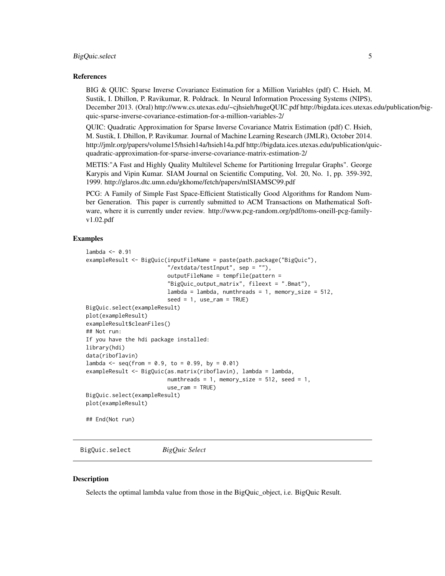#### <span id="page-4-0"></span>BigQuic.select 5

#### References

BIG & QUIC: Sparse Inverse Covariance Estimation for a Million Variables (pdf) C. Hsieh, M. Sustik, I. Dhillon, P. Ravikumar, R. Poldrack. In Neural Information Processing Systems (NIPS), December 2013. (Oral) http://www.cs.utexas.edu/~cjhsieh/hugeQUIC.pdf http://bigdata.ices.utexas.edu/publication/bigquic-sparse-inverse-covariance-estimation-for-a-million-variables-2/

QUIC: Quadratic Approximation for Sparse Inverse Covariance Matrix Estimation (pdf) C. Hsieh, M. Sustik, I. Dhillon, P. Ravikumar. Journal of Machine Learning Research (JMLR), October 2014. http://jmlr.org/papers/volume15/hsieh14a/hsieh14a.pdf http://bigdata.ices.utexas.edu/publication/quicquadratic-approximation-for-sparse-inverse-covariance-matrix-estimation-2/

METIS:"A Fast and Highly Quality Multilevel Scheme for Partitioning Irregular Graphs". George Karypis and Vipin Kumar. SIAM Journal on Scientific Computing, Vol. 20, No. 1, pp. 359-392, 1999. http://glaros.dtc.umn.edu/gkhome/fetch/papers/mlSIAMSC99.pdf

PCG: A Family of Simple Fast Space-Efficient Statistically Good Algorithms for Random Number Generation. This paper is currently submitted to ACM Transactions on Mathematical Software, where it is currently under review. http://www.pcg-random.org/pdf/toms-oneill-pcg-familyv1.02.pdf

#### Examples

```
lambda <- 0.91
exampleResult <- BigQuic(inputFileName = paste(path.package("BigQuic"),
                         "/extdata/testInput", sep = ""),
                         outputFileName = tempfile(pattern =
                         "BigQuic_output_matrix", fileext = ".Bmat"),
                         lambda = 1ambda, numthreads = 1, memory_size = 512,
                         seed = 1, use\_ram = TRUE)
BigQuic.select(exampleResult)
plot(exampleResult)
exampleResult$cleanFiles()
## Not run:
If you have the hdi package installed:
library(hdi)
data(riboflavin)
lambda <- seq(from = 0.9, to = 0.99, by = 0.01)
exampleResult <- BigQuic(as.matrix(riboflavin), lambda = lambda,
                         numthreads = 1, memory_size = 512, seed = 1,
                         use_ram = TRUE)
BigQuic.select(exampleResult)
plot(exampleResult)
## End(Not run)
```
BigQuic.select *BigQuic Select*

#### **Description**

Selects the optimal lambda value from those in the BigQuic\_object, i.e. BigQuic Result.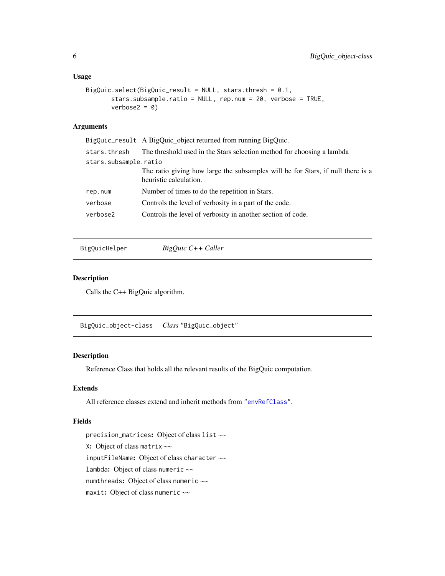```
BigQuic.select(BigQuic_result = NULL, stars.thresh = 0.1,
      stars.subsample.ratio = NULL, rep.num = 20, verbose = TRUE,
      verbose2 = 0
```
#### Arguments

|                       | BigQuic_result A BigQuic_object returned from running BigQuic.                                            |  |
|-----------------------|-----------------------------------------------------------------------------------------------------------|--|
| stars.thresh          | The threshold used in the Stars selection method for choosing a lambda                                    |  |
| stars.subsample.ratio |                                                                                                           |  |
|                       | The ratio giving how large the subsamples will be for Stars, if null there is a<br>heuristic calculation. |  |
| rep.num               | Number of times to do the repetition in Stars.                                                            |  |
| verbose               | Controls the level of verbosity in a part of the code.                                                    |  |
| verbose2              | Controls the level of verbosity in another section of code.                                               |  |
|                       |                                                                                                           |  |

BigQuicHelper *BigQuic C++ Caller*

#### Description

Calls the C++ BigQuic algorithm.

BigQuic\_object-class *Class* "BigQuic\_object"

#### Description

Reference Class that holds all the relevant results of the BigQuic computation.

#### Extends

All reference classes extend and inherit methods from ["envRefClass"](#page-0-0).

#### Fields

precision\_matrices: Object of class list ~~ X: Object of class matrix ~~ inputFileName: Object of class character ~~ lambda: Object of class numeric ~~ numthreads: Object of class numeric ~~ maxit: Object of class numeric ~~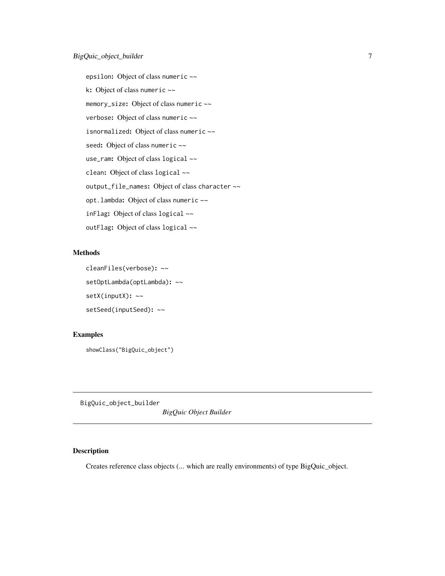<span id="page-6-0"></span>epsilon: Object of class numeric ~~ k: Object of class numeric ~~ memory\_size: Object of class numeric ~~ verbose: Object of class numeric ~~ isnormalized: Object of class numeric  $\sim$ seed: Object of class numeric ~~ use\_ram: Object of class logical ~~ clean: Object of class logical ~~ output\_file\_names: Object of class character ~~ opt.lambda: Object of class numeric ~~ inFlag: Object of class logical ~~ outFlag: Object of class logical ~~

#### Methods

```
cleanFiles(verbose): ~~
setOptLambda(optLambda): ~~
setX(inputX): ~~
setSeed(inputSeed): ~~
```
#### Examples

showClass("BigQuic\_object")

BigQuic\_object\_builder

*BigQuic Object Builder*

#### Description

Creates reference class objects (... which are really environments) of type BigQuic\_object.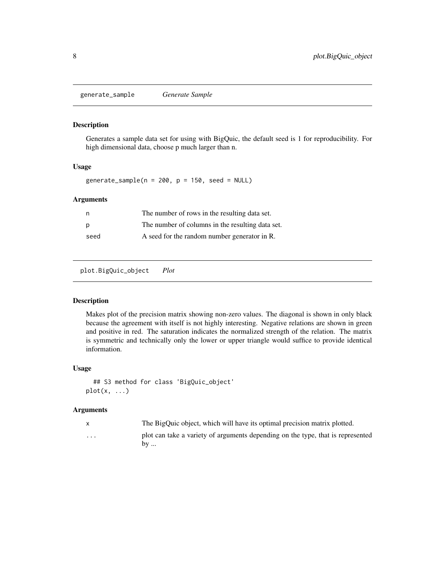<span id="page-7-0"></span>generate\_sample *Generate Sample*

#### Description

Generates a sample data set for using with BigQuic, the default seed is 1 for reproducibility. For high dimensional data, choose p much larger than n.

#### Usage

generate\_sample( $n = 200$ ,  $p = 150$ , seed = NULL)

#### Arguments

|      | The number of rows in the resulting data set.    |
|------|--------------------------------------------------|
| D    | The number of columns in the resulting data set. |
| seed | A seed for the random number generator in R.     |

plot.BigQuic\_object *Plot*

#### Description

Makes plot of the precision matrix showing non-zero values. The diagonal is shown in only black because the agreement with itself is not highly interesting. Negative relations are shown in green and positive in red. The saturation indicates the normalized strength of the relation. The matrix is symmetric and technically only the lower or upper triangle would suffice to provide identical information.

#### Usage

```
## S3 method for class 'BigQuic_object'
plot(x, \ldots)
```
#### Arguments

|          | The BigQuic object, which will have its optimal precision matrix plotted.       |
|----------|---------------------------------------------------------------------------------|
| $\cdots$ | plot can take a variety of arguments depending on the type, that is represented |
|          | $bv \dots$                                                                      |